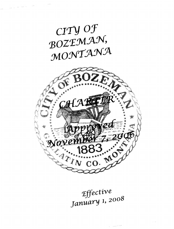



Effective January 1, <sup>2008</sup>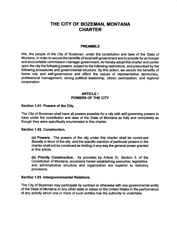# THE CITY OF BOZEMAN, MONTANA **CHARTER**

## PREAMBLE

We, the people of the City of Bozeman, under the constitution and laws of the State of Montana, in order to secure the benefits of local self-government and to provide for an honest and accountable commission-manager government, do hereby adopt this charter and confer upon the city the following powers, subject to the following restrictions, and prescribed by the following procedures and governmental structure. By this action, we secure the benefits of home rule and self-governance and affirm the values of representative democracy, professional management, strong political leadership, citizen participation, and regional cooperation.

## ARTICLE <sup>I</sup> POWERS OF THE CITY

#### Section 1.01. Powers of the City.

The City of Bozeman shall have all powers possible for a city with self-governing powers to have under the constitution and laws of the State of Montana as fully and completely as though they were specifically enumerated in this charter.

#### Section 1.02. Construction.

a) Powers. The powers of the city under this charter shall be construed liberally in favor of the city, and the specific mention of particular powers in the charter shall not be construed as limiting in any way the general power granted in this article.

b) Priority Construction. As provided by Article XI, Section 5, of the Constitution of Montana, provisions herein establishing executive, legislative, and administrative structure and organization are superior to statutory provisions.

#### Section 1.03. Intergovernmental Relations.

The City of Bozeman may participate by contract or otherwise with any governmental entity of the State of Montana or any other state or states or the United States in the performance of any activity which one or more of such entities has the authority to undertake.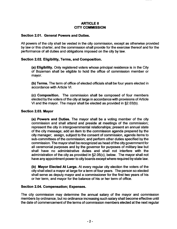# ARTICLE II CITY COMMISSION

# Section 2.01. General Powers and Duties.

All powers of the city shall be vested in the city commission, except as otherwise provided by law or this charter, and the commission shall provide for the exercise thereof and for the performance of all duties and obligations imposed on the city by law.

# Section 2.02. Eligibility, Terms, and Composition.

a) Eligibility. Only registered voters whose principal residence is in the City of Bozeman shall be eligible to hold the office of commission member or mayor.

b) Terms. The term of office of elected officials shall be four years elected in accordance with Article VI.

c) Composition. The commission shall be composed of four members elected by the voters of the city at large in accordance with provisions of Article VI and the mayor. The mayor shall be elected as provided in  $\S 2.03(b)$ .

#### Section 2.03. Mayor

a) Powers and Duties. The mayor shall be a voting member of the city commission and shall attend and preside at meetings of the commission; represent the city in intergovernmental relationships; present an annual state of the city message; add an item to the commission agenda prepared by the city manager; assign, subject to the consent of commission, agenda items to sub-committees of the commission; and perform other duties specified by the commission. The mayor shall be recognized as head of the city government for all ceremonial purposes and by the governor for purposes of military law but shall have no administrative duties and shall not interfere with the administration of the city as provided in  $\S2.05(c)$ , below. The mayor shall not have any appointment power to city boards except where required by state law.

b) Mayor Elected At Large. At every regular city election the voters of the city shall elect a mayor at large for a term of four years. The person so elected shall serve as deputy mayor and a commissioner for the first two years of his or her term, and mayor for the balance of his or her term of office.

#### Section 2.04. Compensation; Expenses.

The city commission may determine the annual salary of the mayor and commission members by ordinance, but no ordinance increasing such salary shall become effective until the date of commencement of the terms of commission members elected at the next regular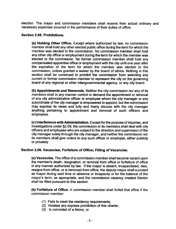election. The mayor and commission members shall receive their actual ordinary and necessary expenses incurred in the performance of their duties of office.

#### Section 2.05. Prohibitions.

a) Holding Other Office. Except where authorized by law, no commission member shall hold any other elected public office during the term for which the member was elected to the commission. No commission member shall hold any other city office or employment during the term for which the member was elected to the commission. No former commission member shall hold any compensated appointive office or employment with the city until one year after the expiration of the term for which the member was elected to the commission, unless granted a waiver by the board of ethics. Nothing in this section shall be construed to prohibit the commission from selecting any current or former commission member to represent the city on the governing board of any regional or other intergovernmental agency, or any city board.

b) Appointments and Removals. Neither the city commission nor any of its members shall in any manner control or demand the appointment or removal of any city administrative officer or employee whom the city manager or any subordinate of the city manager is empowered to appoint, but the commission may express its views and fully and freely discuss with the city manager anything pertaining to appointment and removal of such officers and employees.

c) Interference with Administration. Except for the purpose of inquiries, and investigations under §2.09, the commission or its members shall deal with city officers and employees who are subject to the direction and supervision of the city manager solely through the city manager, and neither the commission nor its members shall give orders to any such officer or employee, either publicly or privately.

#### Section 2.06. Vacancies; Forfeiture of Office; Filling of Vacancies.

a) Vacancies. The office of a commission member shall become vacant upon the member's death, resignation, or removal from office or forfeiture of office in any manner authorized by law. If the mayor is absent, incapacitated, dies, resigns from office, or is removed from office, the deputy mayor shall succeed as mayor during said time or absence or incapacity or for the balance of the mayor's term, as appropriate; and the commission vacancy created therein shall be filled pursuant to this section.

b) Forfeiture of Office. A commission member shall forfeit that office if the commission member:

- 1) Fails to meet the residency requirements,
- 2) Violates any express prohibition of this charter,
- 3) Is convicted of a felony, or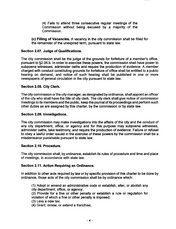4) Fails to attend three consecutive regular meetings of the Commission without being excused by a majority of the Commission.

c) Filling of Vacancies. A vacancy in the city commission shall be filled for the remainder of the unexpired term, pursuant to state law.

# Section 2.07. Judge of Qualifications.

The city commission shall be the judge of the grounds for forfeiture of <sup>a</sup> member's office, pursuant to §2.06.b. In order to exercise these powers, the commission shall have power to subpoena witnesses, administer oaths and require the production of evidence. A member charged with conduct constituting grounds for forfeiture of office shall be entitled to a public hearing on demand, and notice of such hearing shall be published in one or more newspapers of general circulation in the city pursuant to state law.

# Section 2.08. City Clerk.

The city commission or the city manager, as designated by ordinance, shall appoint an officer of the city who shall have the title of city clerk. The city clerk shall give notice of commission meetings to its members and the public, keep the journal of its proceedings and perform such other duties as are assigned by this charter, by the commission or by state law.

# Section 2.09. Investigations.

The city commission may make investigations into the affairs of the city and the conduct of any city department, office, or agency and for this purpose may subpoena witnesses, administer oaths, take testimony, and require the production of evidence. Failure or refusal to obey a lawful order issued in the exercise of these powers by the commission shall be a misdemeanor punishable pursuant to state law.

# Section 2.10. Procedure.

The city commission shall, by ordinance, establish its rules of procedure and time and place of meetings, in accordance with state law.

# Section 2.11. Action Requiring an Ordinance.

In addition to other acts required by law or by specific provision of this charter to be done by ordinance, those acts of the city commission shall be by ordinance which:

1) Adopt or amend an administrative code or establish, alter, or abolish any city department, office, or agency;

2) Provide for a fine or other penalty or establish a rule or regulation for violation of which a fine or other penalty is imposed;

3) Levy a new tax;

4) Grant, renew, or extend a franchise;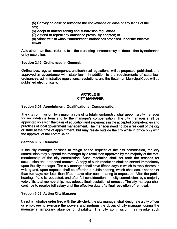5) Conveyor lease or authorize the conveyance or lease of any lands of the city;

6) Adopt or amend zoning and subdivision regulations;

7) Amend or repeal any ordinance previously adopted; or

8) Adopt, with orwithout amendment, ordinances proposed underthe initiative power.

Acts other than those referred to in the preceding sentence may be done either by ordinance or by resolution.

# Section 2.12. Ordinances in General.

Ordinances, regular, emergency, and technical regulations, will be proposed, published, and approved in accordance with state law. In addition to the requirements of state law, ordinances, administrative regulations, resolutions, and the Bozeman Municipal Code will be published electronically.

## **ARTICLE III** CITY MANAGER

## Section 3.01. Appointment; Qualifications; Compensation.

The city commission, by a majority vote of its total membership, shall appoint a city manager for an indefinite term and fix the manager's compensation. The city manager shall be appointed solely on the basis of education and experience in the accepted competencies and practices of local government management. The manager need not be a resident of the city or state at the time of appointment, but may reside outside the city while in office only with the approval of the commission.

#### Section 3.02. Removal.

If the city manager declines to resign at the request of the city commission, the city commission may suspend the manager by a resolution approved by the majority of the total membership of the city commission. Such resolution shall set forth the reasons for suspension and proposed removal. A copy of such resolution shall be served immediately upon the city manager. The city manager shall have fifteen days in which to reply thereto in writing and, upon request, shall be afforded a public hearing, which shall occur not earlier than ten days nor later than fifteen days after such hearing is requested. After the public hearing, if one is requested, and after full consideration, the city commission, by <sup>a</sup> majority vote of its total membership, may adopt a final resolution of removal. The city manager shall continue to receive full salary until the effective date of a final resolution of removal.

#### Section 3.03. Acting City Manager.

By administrative order filed with the city clerk, the city manager shall designate a city officer or employee to exercise the powers and perform the duties of city manager during the manager's temporary absence or disability. The city commission may revoke such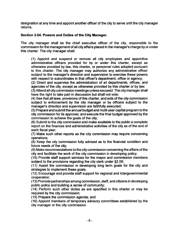designation at any time and appoint another officer of the city to serve until the city manager returns.

# Section 3.04. Powers and Duties of the City Manager.

The city manager shall be the chief executive officer of the city, responsible to the commission forthe management of all city affairs placed in the manager's charge by or under this charter. The city manager shall:

1) Appoint and suspend or remove all city employees and appointive administrative officers provided for by or under this charter, except as otherwise provided by law, this charter, or personnel rules adopted pursuant to this charter. The city manager may authorize any administrative officer subject to the manager's direction and supervision to exercise these powers with respect to subordinates in that officer's department, office or agency;

2) Direct and supervise the administration of all departments, offices, and agencies of the city, except as otherwise provided by this charter or by law;

3) Attend all city commission meetings unless excused. The city manager shall have the right to take part in discussion but shall not vote;

4) See that all laws, provisions of this charter, and acts of the city commission subject to enforcement by the city manager or by officers subject to the manager's direction and supervision are faithfully executed;

5) Prepare and submit the annual budget and multi-year capital program to the city commission for its approval, and execute the final budget approved by the commission to achieve the goals of the city;

6) Submit to the city commission and make available to the public a complete report on the finances and administrative activities of the city as of the end of each fiscal year;

7) Make such other reports as the city commission may require concerning operations;

8) Keep the city commission fully advised as to the financial condition and future needs of the city;

9) Make recommendations to the city commission concerning the affairs of the city and facilitate the work of the city commission in developing policy;

10) Provide staff support services for the mayor and commission members subject to the provisions regarding the city clerk under  $\S2.08$ ;

11) Assist the commission in developing long term goals for the city and strategies to implement these goals;

12) Encourage and provide staff support for regional and intergovernmental cooperation;

13) Promote partnerships among commission, staff, and citizens in developing public policy and building a sense of community;

14) Perform such other duties as are specified in this charter or may be required by the city commission;

15) Prepare the commission agenda; and

16) Appoint members of temporary advisory committees established by the city manager or the city commission.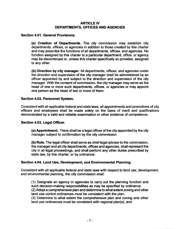# ARTICLE IV DEPARTMENTS, OFFICES AND AGENCIES

## Section 4.01. General Provisions.

(a) Creation of Departments. The city commission may establish city departments, offices, or agencies in addition to those created by this charter and may prescribe the functions of all departments, offices, and agencies. No function assigned by this charter to a particular department, office, or agency may be discontinued or, unless this charter specifically so provides, assigned to any other.

b) Direction by city manager. All departments, offices, and agencies under the direction and supervision of the city manager shall be administered by an officer appointed by and subject to the direction and supervision of the city manager. With the consent of commission, the city manager may serve as the head of one or more such departments, offices, or agencies or may appoint one person as the head of two or more of them.

## Section 4.02. Personnel System.

Consistent with all applicable federal and state laws, all appointments and promotions of city officers and employees shall be made solely on the basis of merit and qualifications demonstrated by a valid and reliable examination or other evidence of competence.

#### Section 4.03. Legal Officer.

a) Appointment. There shall be a legal officer of the city appointed by the city manager subject to confirmation by the city commission.

b) Role. The legal officer shall serve as chief legal adviser to the commission, the manager and all city departments, offices and agencies, shall represent the city in all legal proceedings, and shall perform any other duties prescribed by state law, by this charter, or by ordinance.

#### Section 4.04. Land Use, Development, and Environmental Planning.

Consistent with all applicable federal and state laws with respect to land use, development, and environmental planning, the city commission shall:

1) Designate an agency or agencies to carry out the planning function and such decision-making responsibilities as may be specified by ordinance; 2) Adopt a comprehensive plan and determine to what extent zoning and other land use control ordinances must be consistent with the plan; 3) Determine to what extent the comprehensive plan and zoning and other

land use ordinances must be consistent with regional plan(s); and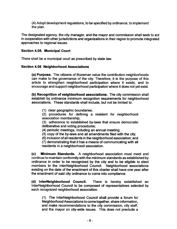4) Adopt development regulations, to be specified by ordinance, to implement the plan.

The designated agency, the city manager, and the mayor and commission shall seek to act in cooperation with other jurisdictions and organizations in their region to promote integrated approaches to regional issues.

# Section 4.05. Municipal Court

There shall be a municipal court as prescribed by state law.

## Section 4.06 Neighborhood Associations

a) Purpose. The citizens of Bozeman value the contribution neighborhoods can make to the governance of the city. Therefore, it is the purpose of this article to strengthen neighborhood participation where it exists, and to encourage and support neighborhood participation where it does not yet exist.

b) Recognition of neighborhood associations. The city commission shall establish by ordinance minimum recognition requirements for neighborhood associations. These standards shall include, but not be limited to:

1) clear geographic boundaries;

2) procedures for defining a resident for neighborhood association membership;

3) adherence to established by-laws that ensure democratic deliberative and voting procedures;

4) periodic meetings, including an annual meeting;

5) copy of the by-laws and all amendments filed with the city;

6) inclusion of all residents in the neighborhood association; and

7) demonstrating that it has a means of communicating with all residents in a neighborhood association.

c) Minimum Standards. A neighborhood association must meet and continue to maintain conformity with the minimum standards as established by ordinance in order to be recognized by the city and to be eligible to elect members to the InterNeighborhood Council. Neighborhood associations existing on the date of the enactment of this charter shall have one year after the enactment of said city ordinance to come into compliance.

d) InterNeighborhood Council. There is hereby established an InterNeighborhood Council to be composed of representatives selected by each recognized neighborhood association. .

1) The InterNeighborhood Council shall provide a forum for Neighborhood Associations to come together, share information, and make recommendations to the city commission, city staff, and the mayor on city-wide issues. This does not preclude a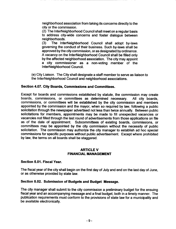neighborhood association from taking its concerns directly to the city or the commission.

2) The InterNeighborhood Council shall meet on a regular basis to address city-wide concerns and foster dialogue between neighborhoods.<br>(3) The Inte

The InterNeighborhood Council shall adopt by-laws governing the conduct of their business. Such by-laws shall be approved by the city commission, or as designated by ordinance. A vacancy on the InterNeighborhood Council shall be filled only by the affected neighborhood association. The city may appoint a city commissioner as a non-voting member of the InterNeighborhood Council.

e) City Liaison. The City shall designate a staff member to serve as liaison to the InterNeighborhood Council and neighborhood associations.

# Section 4.07. City Boards, Commissions and Committees.

Except for boards and commissions established by statute, the commission may create<br>boards, commissions, or committees as determined necessary. All city boards, boards, commissions, or committees as determined necessary. commissions, or committees will be established by the city commission and members appointed by the commission and the mayor, when so required by law, following <sup>a</sup> public solicitation through the newspaper advertised not less than twice annually. Between public solicitations for members, appointments may be made to fill unexpected vacancies or vacancies not filled through the last round of advertisements from those applications on file as of the date of appointment. Subcommittees of existing boards, commissions, or committees may be appointed by the city commission without the necessity of public solicitation. The commission may authorize the city manager to establish ad hoc special commissions for specific purposes without public advertisement. Except where prohibited by law, the terms on all boards shall be staggered.

## ARTICLE V FINANCIAL MANAGEMENT

#### Section 5.01. Fiscal Year.

The fiscal year of the city shall begin on the first day of July and end on the last day of June, or as otherwise provided by state law.

#### Section 5.02. Submission of Budgets and Budget Message.

The city manager shall submit to the city commission <sup>a</sup> preliminary budget for the ensuing fiscal year and an accompanying message and a final budget, both in a timely manner. The publication requirements must conform to the provisions of state law for a municipality and be available electronically.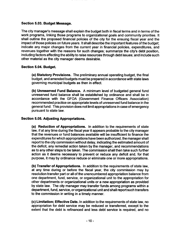## Section 5.03. Budget Message.

The city manager's message shall explain the budget both in fiscal terms and in terms of the work programs, linking those programs to organizational goals and community priorities. It shall outline the proposed financial policies of the city for the ensuing fiscal year and the impact of those policies on future years. It shall describe the important features of the budget; indicate any major changes from the current year in financial policies, expenditures, and revenues together with the reasons for such changes; summarize the city's debt position, including factors affecting the ability to raise resources through debt issues; and include such other material as the city manager deems desirable.

## Section 5.04. Budget.

a) Statutory Provisions. The preliminary annual operating budget, the final budget, and amended budgets must be prepared in accordance with state laws governing municipal budgets as then in effect.

b) Unreserved Fund Balance. A minimum level of budgeted general fund unreserved fund balance shall be established by ordinance and shall be in accordance with the GFOA ( Government Finance Officers Association) recommended practice on appropriate levels of unreserved fund balance in the general fund. This provision does not limit appropriations in case ofemergency pursuant to state law.

# Section 5.05. Adjusting Appropriations.

a) Reduction of Appropriations. In addition to the requirements of state law, if at any time during the fiscal year it appears probable to the city manager that the revenues or fund balances available will be insufficient to finance the expenditures forwhich appropriations have been authorized, the manager shall report to the city commission without delay, indicating the estimated amount of the deficit, any remedial action taken by the manager, and recommendations as to any other steps to be taken. The commission shall then take such further action as it deems necessary to prevent or reduce any deficit and, for that purpose, it may by ordinance reduce or eliminate one or more appropriations.

(b) Transfer of Appropriations. In addition to the requirements of state law, at any time during or before the fiscal year, the city commission may by resolution transfer part or all of the unencumbered appropriation balance from one department, fund, service, or organizational unit to the appropriation for other departments or organizational units or a new appropriation as provided by state law. The city manager may transfer funds among programs within a department, fund, service, or organizational unit and shall report such transfers to the commission in writing in a timely manner.

c) Limitation; Effective Date. In addition to the requirements of state law, no appropriation for debt service may be reduced or transferred, except to the extent that the debt is refinanced and less debt service is required, and no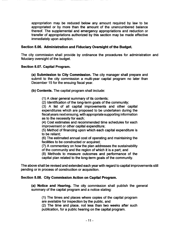appropriation may be reduced below any amount required by law to be appropriated or by more than the amount of the unencumbered balance thereof. The supplemental and emergency appropriations and reduction or transfer of appropriations authorized by this section may be made effective immediately upon adoption.

## Section 5.06. Administration and Fiduciary Oversight of the Budget.

The city commission shall provide by ordinance the procedures for administration and fiduciary oversight of the budget.

#### Section 5.07. Capital Program.

a) Submission to City Commission. The city manager shall prepare and submit to the city commission a multi-year capital program no later than December 15 for the ensuing fiscal year.

b) Contents. The capital program shall include:

1) A clear general summary of its contents;

2) Identification of the long-term goals of the community;

3) A list of all capital improvements and other capital expenditures which are proposed to be undertaken during the fiscal years next ensuing, with appropriate supporting information as to the necessity for each;

4) Cost estimates and recommended time schedules for each improvement or other capital expenditure;

5) Method of financing upon which each capital expenditure is to be reliant;

6) The estimated annual cost of operating and maintaining the facilities to be constructed or acquired;

7) A commentary on how the plan addresses the sustainability of the community and the region of which it is a part; and

8) Methods to measure outcomes and performance of the capital plan related to the long-term goals of the community.

The above shall be revised and extended each year with regard to capital improvements still pending or in process of construction or acquisition.

# Section 5.08. City Commission Action on Capital Program.

a) Notice and Hearing. The city commission shall publish the general summary of the capital program and a notice stating:

1) The times and places where copies of the capital program are available for inspection by the public, and 2) The time and place, not less than two weeks after such publication, for a public hearing on the capital program.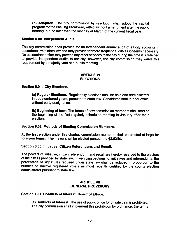b) Adoption. The city commission by resolution shall adopt the capital program for the ensuing fiscal year, with or without amendment afterthe public hearing, but no later than the last day of March of the current fiscal year.

## Section 5.09 Independent Audit.

The city commission shall provide for an independent annual audit of all city accounts in accordance with state law and may provide for more frequent audits as it deems necessary. No accountant or firm may provide any other services to the city during the time it is retained to provide independent audits to the city, however, the city commission may waive this requirement by a majority vote at a public meeting.

## ARTICLE VI ELECTIONS

## Section 6.01. City Elections.

a) Regular Elections. Regular city elections shall be held and administered in odd numbered years, pursuant to state law. Candidates shall run for office without party designation.

b) Beginning of term. The terms of new commission members shall start at the beginning of the first regularly scheduled meeting in January after their election.

#### Section 6.02. Methods of Electing Commission Members.

At the first election under this charter, commission members shall be elected at large for four-year terms. The mayor shall be elected pursuant to  $\S 2.03(b)$ .

#### Section 6.03. Initiative; Citizen Referendum, and Recall.

The powers of initiative, citizen referendum, and recall are hereby reserved to the electors of the city as provided by state law. In verifying petitions for initiatives and referendums, the percentage of signatures required under state law shall be reduced in proportion to the number of inactive registered voters as most recently certified by the county election administrator pursuant to state law.

## ARTICLE VII GENERAL PROVISIONS

#### Section 7.01. Conflicts of Interest; Board of Ethics.

a) Conflicts of Interest. The use of public office for private gain is prohibited. The city commission shall implement this prohibition by ordinance, the terms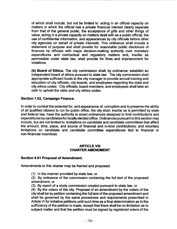of which shall include, but not be limited to: acting in an official capacity on matters in which the official has a private financial interest clearly separate from that of the general public, the acceptance of gifts and other things of value, acting in a private capacity on matters dealt with as a public official, the use of confidential information, and appearances by city officials before other city agencies on behalf of private interests. This ordinance shall include a statement of purpose and shall provide for reasonable public disclosure of finances by officials with major decision-making authority over monetary expenditures and contractual and regulatory matters and, insofar as permissible under state law, shall provide for fines and imprisonment for violations.

b) Board of Ethics. The city commission shall, by ordinance, establish an independent board of ethics pursuant to state law. The city commission shall appropriate sufficient funds to the city manager to provide annual training and education of city officials, city boards, and employees regarding the state and city ethics codes. City officials, board members, and employees shall take an oath to uphold the state and city ethics codes.

# Section 7.02. Campaign Finance.

In order to combat the potential for, and appearance of, corruption and to preserve the ability of all qualified citizens to run for public office, the city shall, insofar as is permitted by state and federal law, have the authority to enact ordinances designed to limit contributions and expenditures by candidates for locally elected office. Ordinances pursuant to this section may include, but are not limited to: limitations on candidate and candidate committees that affect the amount, time, place, and source of financial and in-kind contributions; and voluntary limitations on candidate and candidate committee expenditures tied to financial or non-financial incentives.

## ARTICLE VIII CHARTER AMENDMENT

# Section 8.01 Proposal of Amendment.

Amendments to this charter may be framed and proposed:

1) In the manner provided by state law, or

2) By ordinance of the commission containing the full text of the proposed amendment, or

3) By report of a study commission created pursuant to state law, or

4) By the voters of the city. Proposal of an amendment by the voters of the city shall be by petition containing the full text of the proposed amendment and shall be governed by the same procedures and requirements prescribed in Article VI for initiative petitions until such time as a final determination as to the sufficiency of the petition is made, except that there shall be no limitation as to subject matter and that the petition must be signed by registered voters of the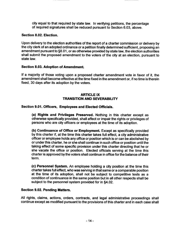city equal to that required by state law. In verifying petitions, the percentage of required signatures shall be reduced pursuant to Section 6.03, above.

## Section 8.02. Election.

Upon delivery to the election authorities of the report of a charter commission or delivery by the city clerk of an adopted ordinance or <sup>a</sup> petition finally determined sufficient, proposing an amendment pursuant to §8.01, or as otherwise provided by state law, the election authorities shall submit the proposed amendment to the voters of the city at an election, pursuant to state law.

#### Section 8.03. Adoption of Amendment.

If <sup>a</sup> majority of those voting upon a proposed charter amendment vote in favor of it, the amendment shall become effective at the time fixed in the amendment or, if no time is therein fixed, 30 days after its adoption by the voters.

# ARTICLE IX TRANSITION AND SEVERABILITY

## Section 9.01. Officers, Employees and Elected Officials.

a) Rights and Privileges Preserved. Nothing in this charter except as otherwise specifically provided, shall affect or impair the rights or privileges of persons who are city officers or employees at the time of its adoption.

b) Continuance of Office or Employment. Except as specifically provided by this charter if, at the time this charter takes full effect, <sup>a</sup> city administrative officer or employee holds any office or position which is or can be abolished by or under this charter, he or she shall continue in such office or position until the taking effect of some specific provision under this charter directing that he or she vacate the office or position. Elected officials serving at the time this charter is approved by the voters shall continue in office for the balance of their term.

c) Personnel System. An employee holding a city position at the time this charter takes full effect, who was serving in that same or a comparable position at the time of its adoption, shall not be subject to competitive tests as <sup>a</sup> condition of continuance in the same position but in all other respects shall be subject to the personnel system provided for in §4.02.

#### Section 9.02. Pending Matters.

All rights, claims, actions, orders, contracts, and legal administrative proceedings shall continue except as modified pursuant to the provisions of this charter and in each case shall